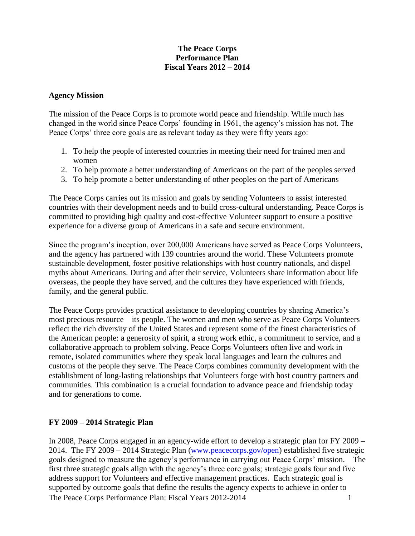### **The Peace Corps Performance Plan Fiscal Years 2012 – 2014**

### **Agency Mission**

The mission of the Peace Corps is to promote world peace and friendship. While much has changed in the world since Peace Corps' founding in 1961, the agency's mission has not. The Peace Corps' three core goals are as relevant today as they were fifty years ago:

- 1. To help the people of interested countries in meeting their need for trained men and women
- 2. To help promote a better understanding of Americans on the part of the peoples served
- 3. To help promote a better understanding of other peoples on the part of Americans

The Peace Corps carries out its mission and goals by sending Volunteers to assist interested countries with their development needs and to build cross-cultural understanding. Peace Corps is committed to providing high quality and cost-effective Volunteer support to ensure a positive experience for a diverse group of Americans in a safe and secure environment.

Since the program's inception, over 200,000 Americans have served as Peace Corps Volunteers, and the agency has partnered with 139 countries around the world. These Volunteers promote sustainable development, foster positive relationships with host country nationals, and dispel myths about Americans. During and after their service, Volunteers share information about life overseas, the people they have served, and the cultures they have experienced with friends, family, and the general public.

The Peace Corps provides practical assistance to developing countries by sharing America's most precious resource—its people. The women and men who serve as Peace Corps Volunteers reflect the rich diversity of the United States and represent some of the finest characteristics of the American people: a generosity of spirit, a strong work ethic, a commitment to service, and a collaborative approach to problem solving. Peace Corps Volunteers often live and work in remote, isolated communities where they speak local languages and learn the cultures and customs of the people they serve. The Peace Corps combines community development with the establishment of long-lasting relationships that Volunteers forge with host country partners and communities. This combination is a crucial foundation to advance peace and friendship today and for generations to come.

# **FY 2009 – 2014 Strategic Plan**

The Peace Corps Performance Plan: Fiscal Years 2012-20141 In 2008, Peace Corps engaged in an agency-wide effort to develop a strategic plan for FY 2009 – 2014. The FY 2009 – 2014 Strategic Plan [\(www.peacecorps.gov/open\)](http://www.peacecorps.gov/open) established five strategic goals designed to measure the agency's performance in carrying out Peace Corps' mission. The first three strategic goals align with the agency's three core goals; strategic goals four and five address support for Volunteers and effective management practices. Each strategic goal is supported by outcome goals that define the results the agency expects to achieve in order to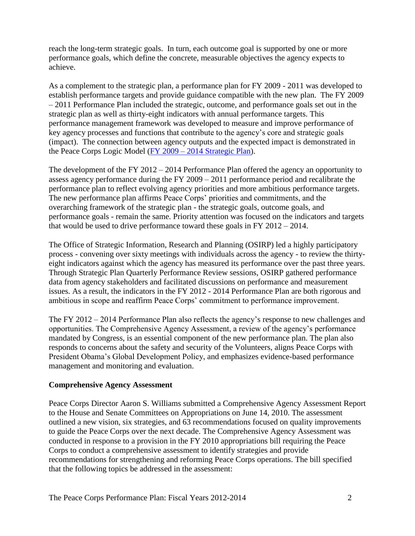reach the long-term strategic goals. In turn, each outcome goal is supported by one or more performance goals, which define the concrete, measurable objectives the agency expects to achieve.

As a complement to the strategic plan, a performance plan for FY 2009 - 2011 was developed to establish performance targets and provide guidance compatible with the new plan. The FY 2009 – 2011 Performance Plan included the strategic, outcome, and performance goals set out in the strategic plan as well as thirty-eight indicators with annual performance targets. This performance management framework was developed to measure and improve performance of key agency processes and functions that contribute to the agency's core and strategic goals (impact). The connection between agency outputs and the expected impact is demonstrated in the Peace Corps Logic Model (FY 2009 – [2014 Strategic Plan\)](http://multimedia.peacecorps.gov/multimedia/pdf/policies/pc_strategic_plan_081409.pdf).

The development of the FY 2012 – 2014 Performance Plan offered the agency an opportunity to assess agency performance during the FY 2009 – 2011 performance period and recalibrate the performance plan to reflect evolving agency priorities and more ambitious performance targets. The new performance plan affirms Peace Corps' priorities and commitments, and the overarching framework of the strategic plan - the strategic goals, outcome goals, and performance goals - remain the same. Priority attention was focused on the indicators and targets that would be used to drive performance toward these goals in FY 2012 – 2014.

The Office of Strategic Information, Research and Planning (OSIRP) led a highly participatory process - convening over sixty meetings with individuals across the agency - to review the thirtyeight indicators against which the agency has measured its performance over the past three years. Through Strategic Plan Quarterly Performance Review sessions, OSIRP gathered performance data from agency stakeholders and facilitated discussions on performance and measurement issues. As a result, the indicators in the FY 2012 - 2014 Performance Plan are both rigorous and ambitious in scope and reaffirm Peace Corps' commitment to performance improvement.

The FY 2012 – 2014 Performance Plan also reflects the agency's response to new challenges and opportunities. The Comprehensive Agency Assessment, a review of the agency's performance mandated by Congress, is an essential component of the new performance plan. The plan also responds to concerns about the safety and security of the Volunteers, aligns Peace Corps with President Obama's Global Development Policy, and emphasizes evidence-based performance management and monitoring and evaluation.

# **Comprehensive Agency Assessment**

Peace Corps Director Aaron S. Williams submitted a Comprehensive Agency Assessment Report to the House and Senate Committees on Appropriations on June 14, 2010. The assessment outlined a new vision, six strategies, and 63 recommendations focused on quality improvements to guide the Peace Corps over the next decade. The Comprehensive Agency Assessment was conducted in response to a provision in the FY 2010 appropriations bill requiring the Peace Corps to conduct a comprehensive assessment to identify strategies and provide recommendations for strengthening and reforming Peace Corps operations. The bill specified that the following topics be addressed in the assessment: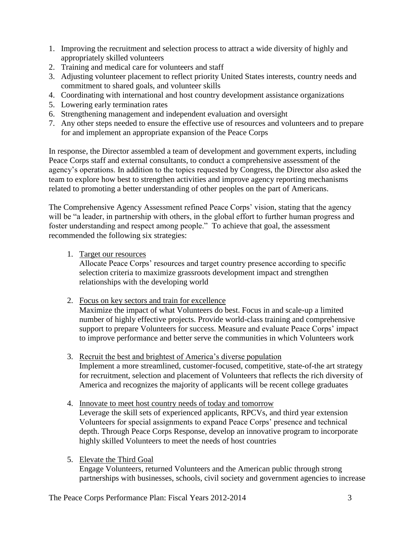- 1. Improving the recruitment and selection process to attract a wide diversity of highly and appropriately skilled volunteers
- 2. Training and medical care for volunteers and staff
- 3. Adjusting volunteer placement to reflect priority United States interests, country needs and commitment to shared goals, and volunteer skills
- 4. Coordinating with international and host country development assistance organizations
- 5. Lowering early termination rates
- 6. Strengthening management and independent evaluation and oversight
- 7. Any other steps needed to ensure the effective use of resources and volunteers and to prepare for and implement an appropriate expansion of the Peace Corps

In response, the Director assembled a team of development and government experts, including Peace Corps staff and external consultants, to conduct a comprehensive assessment of the agency's operations. In addition to the topics requested by Congress, the Director also asked the team to explore how best to strengthen activities and improve agency reporting mechanisms related to promoting a better understanding of other peoples on the part of Americans.

The Comprehensive Agency Assessment refined Peace Corps' vision, stating that the agency will be "a leader, in partnership with others, in the global effort to further human progress and foster understanding and respect among people." To achieve that goal, the assessment recommended the following six strategies:

1. Target our resources

Allocate Peace Corps' resources and target country presence according to specific selection criteria to maximize grassroots development impact and strengthen relationships with the developing world

2. Focus on key sectors and train for excellence

Maximize the impact of what Volunteers do best. Focus in and scale-up a limited number of highly effective projects. Provide world-class training and comprehensive support to prepare Volunteers for success. Measure and evaluate Peace Corps' impact to improve performance and better serve the communities in which Volunteers work

- 3. Recruit the best and brightest of America's diverse population Implement a more streamlined, customer-focused, competitive, state-of-the art strategy for recruitment, selection and placement of Volunteers that reflects the rich diversity of America and recognizes the majority of applicants will be recent college graduates
- 4. Innovate to meet host country needs of today and tomorrow Leverage the skill sets of experienced applicants, RPCVs, and third year extension Volunteers for special assignments to expand Peace Corps' presence and technical depth. Through Peace Corps Response, develop an innovative program to incorporate highly skilled Volunteers to meet the needs of host countries
- 5. Elevate the Third Goal

Engage Volunteers, returned Volunteers and the American public through strong partnerships with businesses, schools, civil society and government agencies to increase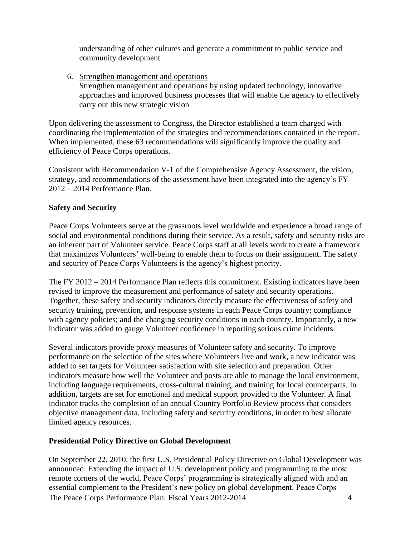understanding of other cultures and generate a commitment to public service and community development

6. Strengthen management and operations Strengthen management and operations by using updated technology, innovative approaches and improved business processes that will enable the agency to effectively carry out this new strategic vision

Upon delivering the assessment to Congress, the Director established a team charged with coordinating the implementation of the strategies and recommendations contained in the report. When implemented, these 63 recommendations will significantly improve the quality and efficiency of Peace Corps operations.

Consistent with Recommendation V-1 of the Comprehensive Agency Assessment, the vision, strategy, and recommendations of the assessment have been integrated into the agency's FY 2012 – 2014 Performance Plan.

# **Safety and Security**

Peace Corps Volunteers serve at the grassroots level worldwide and experience a broad range of social and environmental conditions during their service. As a result, safety and security risks are an inherent part of Volunteer service. Peace Corps staff at all levels work to create a framework that maximizes Volunteers' well-being to enable them to focus on their assignment. The safety and security of Peace Corps Volunteers is the agency's highest priority.

The FY 2012 – 2014 Performance Plan reflects this commitment. Existing indicators have been revised to improve the measurement and performance of safety and security operations. Together, these safety and security indicators directly measure the effectiveness of safety and security training, prevention, and response systems in each Peace Corps country; compliance with agency policies; and the changing security conditions in each country. Importantly, a new indicator was added to gauge Volunteer confidence in reporting serious crime incidents.

Several indicators provide proxy measures of Volunteer safety and security. To improve performance on the selection of the sites where Volunteers live and work, a new indicator was added to set targets for Volunteer satisfaction with site selection and preparation. Other indicators measure how well the Volunteer and posts are able to manage the local environment, including language requirements, cross-cultural training, and training for local counterparts. In addition, targets are set for emotional and medical support provided to the Volunteer. A final indicator tracks the completion of an annual Country Portfolio Review process that considers objective management data, including safety and security conditions, in order to best allocate limited agency resources.

# **Presidential Policy Directive on Global Development**

The Peace Corps Performance Plan: Fiscal Years 2012-20144 On September 22, 2010, the first U.S. Presidential Policy Directive on Global Development was announced. Extending the impact of U.S. development policy and programming to the most remote corners of the world, Peace Corps' programming is strategically aligned with and an essential complement to the President's new policy on global development. Peace Corps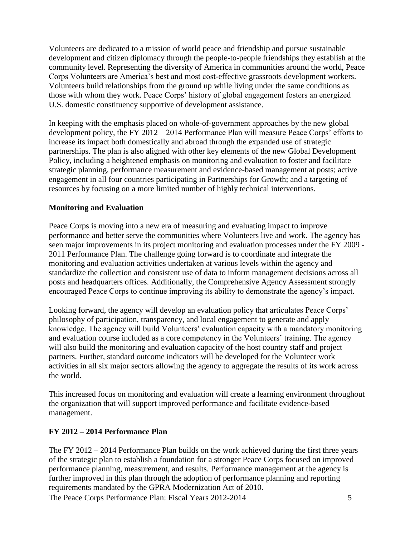Volunteers are dedicated to a mission of world peace and friendship and pursue sustainable development and citizen diplomacy through the people-to-people friendships they establish at the community level. Representing the diversity of America in communities around the world, Peace Corps Volunteers are America's best and most cost-effective grassroots development workers. Volunteers build relationships from the ground up while living under the same conditions as those with whom they work. Peace Corps' history of global engagement fosters an energized U.S. domestic constituency supportive of development assistance.

In keeping with the emphasis placed on whole-of-government approaches by the new global development policy, the FY 2012 – 2014 Performance Plan will measure Peace Corps' efforts to increase its impact both domestically and abroad through the expanded use of strategic partnerships. The plan is also aligned with other key elements of the new Global Development Policy, including a heightened emphasis on monitoring and evaluation to foster and facilitate strategic planning, performance measurement and evidence-based management at posts; active engagement in all four countries participating in Partnerships for Growth; and a targeting of resources by focusing on a more limited number of highly technical interventions.

# **Monitoring and Evaluation**

Peace Corps is moving into a new era of measuring and evaluating impact to improve performance and better serve the communities where Volunteers live and work. The agency has seen major improvements in its project monitoring and evaluation processes under the FY 2009 - 2011 Performance Plan. The challenge going forward is to coordinate and integrate the monitoring and evaluation activities undertaken at various levels within the agency and standardize the collection and consistent use of data to inform management decisions across all posts and headquarters offices. Additionally, the Comprehensive Agency Assessment strongly encouraged Peace Corps to continue improving its ability to demonstrate the agency's impact.

Looking forward, the agency will develop an evaluation policy that articulates Peace Corps' philosophy of participation, transparency, and local engagement to generate and apply knowledge. The agency will build Volunteers' evaluation capacity with a mandatory monitoring and evaluation course included as a core competency in the Volunteers' training. The agency will also build the monitoring and evaluation capacity of the host country staff and project partners. Further, standard outcome indicators will be developed for the Volunteer work activities in all six major sectors allowing the agency to aggregate the results of its work across the world.

This increased focus on monitoring and evaluation will create a learning environment throughout the organization that will support improved performance and facilitate evidence-based management.

# **FY 2012 – 2014 Performance Plan**

The Peace Corps Performance Plan: Fiscal Years 2012-20145 The FY 2012 – 2014 Performance Plan builds on the work achieved during the first three years of the strategic plan to establish a foundation for a stronger Peace Corps focused on improved performance planning, measurement, and results. Performance management at the agency is further improved in this plan through the adoption of performance planning and reporting requirements mandated by the GPRA Modernization Act of 2010.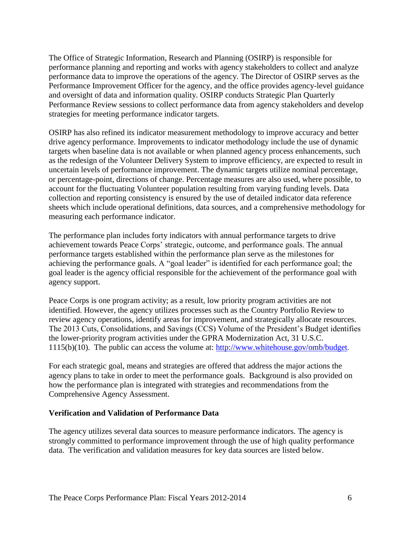The Office of Strategic Information, Research and Planning (OSIRP) is responsible for performance planning and reporting and works with agency stakeholders to collect and analyze performance data to improve the operations of the agency. The Director of OSIRP serves as the Performance Improvement Officer for the agency, and the office provides agency-level guidance and oversight of data and information quality. OSIRP conducts Strategic Plan Quarterly Performance Review sessions to collect performance data from agency stakeholders and develop strategies for meeting performance indicator targets.

OSIRP has also refined its indicator measurement methodology to improve accuracy and better drive agency performance. Improvements to indicator methodology include the use of dynamic targets when baseline data is not available or when planned agency process enhancements, such as the redesign of the Volunteer Delivery System to improve efficiency, are expected to result in uncertain levels of performance improvement. The dynamic targets utilize nominal percentage, or percentage-point, directions of change. Percentage measures are also used, where possible, to account for the fluctuating Volunteer population resulting from varying funding levels. Data collection and reporting consistency is ensured by the use of detailed indicator data reference sheets which include operational definitions, data sources, and a comprehensive methodology for measuring each performance indicator.

The performance plan includes forty indicators with annual performance targets to drive achievement towards Peace Corps' strategic, outcome, and performance goals. The annual performance targets established within the performance plan serve as the milestones for achieving the performance goals. A "goal leader" is identified for each performance goal; the goal leader is the agency official responsible for the achievement of the performance goal with agency support.

Peace Corps is one program activity; as a result, low priority program activities are not identified. However, the agency utilizes processes such as the Country Portfolio Review to review agency operations, identify areas for improvement, and strategically allocate resources. The 2013 Cuts, Consolidations, and Savings (CCS) Volume of the President's Budget identifies the lower-priority program activities under the GPRA Modernization Act, 31 U.S.C. 1115(b)(10). The public can access the volume at: [http://www.whitehouse.gov/omb/budget.](http://www.whitehouse.gov/omb/budget)

For each strategic goal, means and strategies are offered that address the major actions the agency plans to take in order to meet the performance goals. Background is also provided on how the performance plan is integrated with strategies and recommendations from the Comprehensive Agency Assessment.

#### **Verification and Validation of Performance Data**

The agency utilizes several data sources to measure performance indicators. The agency is strongly committed to performance improvement through the use of high quality performance data. The verification and validation measures for key data sources are listed below.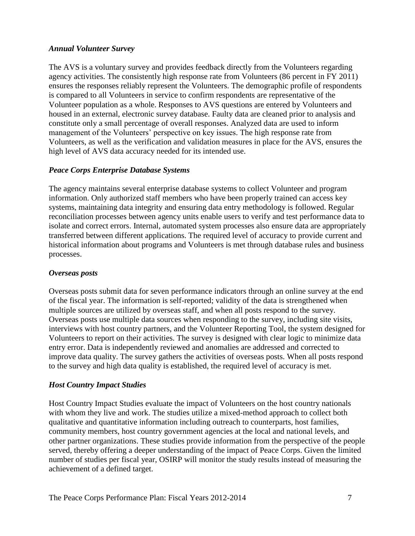### *Annual Volunteer Survey*

The AVS is a voluntary survey and provides feedback directly from the Volunteers regarding agency activities. The consistently high response rate from Volunteers (86 percent in FY 2011) ensures the responses reliably represent the Volunteers. The demographic profile of respondents is compared to all Volunteers in service to confirm respondents are representative of the Volunteer population as a whole. Responses to AVS questions are entered by Volunteers and housed in an external, electronic survey database. Faulty data are cleaned prior to analysis and constitute only a small percentage of overall responses. Analyzed data are used to inform management of the Volunteers' perspective on key issues. The high response rate from Volunteers, as well as the verification and validation measures in place for the AVS, ensures the high level of AVS data accuracy needed for its intended use.

# *Peace Corps Enterprise Database Systems*

The agency maintains several enterprise database systems to collect Volunteer and program information. Only authorized staff members who have been properly trained can access key systems, maintaining data integrity and ensuring data entry methodology is followed. Regular reconciliation processes between agency units enable users to verify and test performance data to isolate and correct errors. Internal, automated system processes also ensure data are appropriately transferred between different applications. The required level of accuracy to provide current and historical information about programs and Volunteers is met through database rules and business processes.

# *Overseas posts*

Overseas posts submit data for seven performance indicators through an online survey at the end of the fiscal year. The information is self-reported; validity of the data is strengthened when multiple sources are utilized by overseas staff, and when all posts respond to the survey. Overseas posts use multiple data sources when responding to the survey, including site visits, interviews with host country partners, and the Volunteer Reporting Tool, the system designed for Volunteers to report on their activities. The survey is designed with clear logic to minimize data entry error. Data is independently reviewed and anomalies are addressed and corrected to improve data quality. The survey gathers the activities of overseas posts. When all posts respond to the survey and high data quality is established, the required level of accuracy is met.

# *Host Country Impact Studies*

Host Country Impact Studies evaluate the impact of Volunteers on the host country nationals with whom they live and work. The studies utilize a mixed-method approach to collect both qualitative and quantitative information including outreach to counterparts, host families, community members, host country government agencies at the local and national levels, and other partner organizations. These studies provide information from the perspective of the people served, thereby offering a deeper understanding of the impact of Peace Corps. Given the limited number of studies per fiscal year, OSIRP will monitor the study results instead of measuring the achievement of a defined target.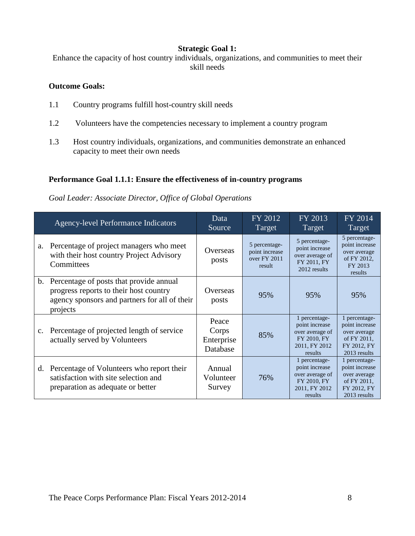### **Strategic Goal 1:**

Enhance the capacity of host country individuals, organizations, and communities to meet their skill needs

# **Outcome Goals:**

- 1.1 Country programs fulfill host-country skill needs
- 1.2 Volunteers have the competencies necessary to implement a country program
- 1.3 Host country individuals, organizations, and communities demonstrate an enhanced capacity to meet their own needs

### **Performance Goal 1.1.1: Ensure the effectiveness of in-country programs**

*Goal Leader: Associate Director, Office of Global Operations*

|    | <b>Agency-level Performance Indicators</b>                                                                                                        | Data<br>Source                           | FY 2012<br>Target                                         | FY 2013<br>Target                                                                             | FY 2014<br>Target                                                                             |
|----|---------------------------------------------------------------------------------------------------------------------------------------------------|------------------------------------------|-----------------------------------------------------------|-----------------------------------------------------------------------------------------------|-----------------------------------------------------------------------------------------------|
| a. | Percentage of project managers who meet<br>with their host country Project Advisory<br>Committees                                                 | Overseas<br>posts                        | 5 percentage-<br>point increase<br>over FY 2011<br>result | 5 percentage-<br>point increase<br>over average of<br>FY 2011, FY<br>2012 results             | 5 percentage-<br>point increase<br>over average<br>of FY 2012,<br>FY 2013<br>results          |
|    | b. Percentage of posts that provide annual<br>progress reports to their host country<br>agency sponsors and partners for all of their<br>projects | Overseas<br>posts                        | 95%                                                       | 95%                                                                                           | 95%                                                                                           |
| c. | Percentage of projected length of service<br>actually served by Volunteers                                                                        | Peace<br>Corps<br>Enterprise<br>Database | 85%                                                       | 1 percentage-<br>point increase<br>over average of<br>FY 2010, FY<br>2011, FY 2012<br>results | 1 percentage-<br>point increase<br>over average<br>of FY 2011,<br>FY 2012, FY<br>2013 results |
|    | d. Percentage of Volunteers who report their<br>satisfaction with site selection and<br>preparation as adequate or better                         | Annual<br>Volunteer<br>Survey            | 76%                                                       | 1 percentage-<br>point increase<br>over average of<br>FY 2010, FY<br>2011, FY 2012<br>results | 1 percentage-<br>point increase<br>over average<br>of FY 2011,<br>FY 2012. FY<br>2013 results |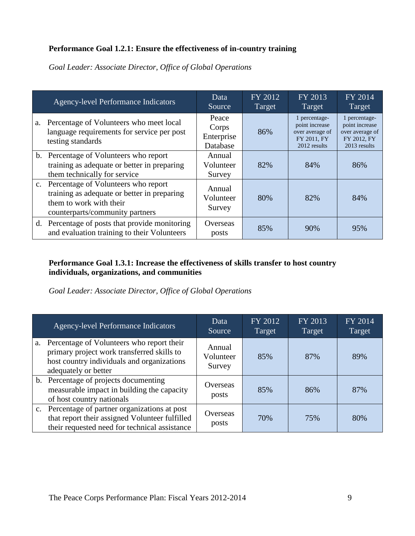# **Performance Goal 1.2.1: Ensure the effectiveness of in-country training**

|    | <b>Agency-level Performance Indicators</b>                                                                                                          | Data<br>Source                           | FY 2012<br>Target | FY 2013<br>Target                                                                 | FY 2014<br>Target                                                                 |
|----|-----------------------------------------------------------------------------------------------------------------------------------------------------|------------------------------------------|-------------------|-----------------------------------------------------------------------------------|-----------------------------------------------------------------------------------|
| a. | Percentage of Volunteers who meet local<br>language requirements for service per post<br>testing standards                                          | Peace<br>Corps<br>Enterprise<br>Database | 86%               | 1 percentage-<br>point increase<br>over average of<br>FY 2011, FY<br>2012 results | 1 percentage-<br>point increase<br>over average of<br>FY 2012, FY<br>2013 results |
|    | b. Percentage of Volunteers who report<br>training as adequate or better in preparing<br>them technically for service                               | Annual<br>Volunteer<br>Survey            | 82%               | 84%                                                                               | 86%                                                                               |
|    | c. Percentage of Volunteers who report<br>training as adequate or better in preparing<br>them to work with their<br>counterparts/community partners | Annual<br>Volunteer<br>Survey            | 80%               | 82%                                                                               | 84%                                                                               |
|    | d. Percentage of posts that provide monitoring<br>and evaluation training to their Volunteers                                                       | Overseas<br>posts                        | 85%               | 90%                                                                               | 95%                                                                               |

*Goal Leader: Associate Director, Office of Global Operations*

# **Performance Goal 1.3.1: Increase the effectiveness of skills transfer to host country individuals, organizations, and communities**

*Goal Leader: Associate Director, Office of Global Operations*

| <b>Agency-level Performance Indicators</b>                                                                                                                       | Data<br>Source                | FY 2012<br>Target | FY 2013<br>Target | FY 2014<br>Target |
|------------------------------------------------------------------------------------------------------------------------------------------------------------------|-------------------------------|-------------------|-------------------|-------------------|
| a. Percentage of Volunteers who report their<br>primary project work transferred skills to<br>host country individuals and organizations<br>adequately or better | Annual<br>Volunteer<br>Survey | 85%               | 87%               | 89%               |
| b. Percentage of projects documenting<br>measurable impact in building the capacity<br>of host country nationals                                                 | Overseas<br>posts             | 85%               | 86%               | 87%               |
| c. Percentage of partner organizations at post<br>that report their assigned Volunteer fulfilled<br>their requested need for technical assistance                | Overseas<br>posts             | 70%               | 75%               | 80%               |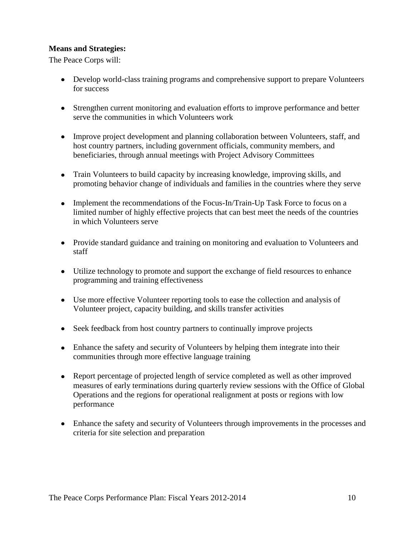### **Means and Strategies:**

The Peace Corps will:

- Develop world-class training programs and comprehensive support to prepare Volunteers for success
- Strengthen current monitoring and evaluation efforts to improve performance and better serve the communities in which Volunteers work
- Improve project development and planning collaboration between Volunteers, staff, and host country partners, including government officials, community members, and beneficiaries, through annual meetings with Project Advisory Committees
- Train Volunteers to build capacity by increasing knowledge, improving skills, and promoting behavior change of individuals and families in the countries where they serve
- Implement the recommendations of the Focus-In/Train-Up Task Force to focus on a limited number of highly effective projects that can best meet the needs of the countries in which Volunteers serve
- Provide standard guidance and training on monitoring and evaluation to Volunteers and staff
- Utilize technology to promote and support the exchange of field resources to enhance programming and training effectiveness
- Use more effective Volunteer reporting tools to ease the collection and analysis of Volunteer project, capacity building, and skills transfer activities
- Seek feedback from host country partners to continually improve projects
- Enhance the safety and security of Volunteers by helping them integrate into their communities through more effective language training
- Report percentage of projected length of service completed as well as other improved measures of early terminations during quarterly review sessions with the Office of Global Operations and the regions for operational realignment at posts or regions with low performance
- Enhance the safety and security of Volunteers through improvements in the processes and criteria for site selection and preparation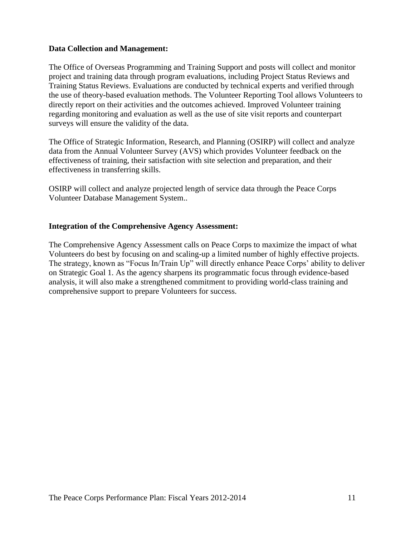#### **Data Collection and Management:**

The Office of Overseas Programming and Training Support and posts will collect and monitor project and training data through program evaluations, including Project Status Reviews and Training Status Reviews. Evaluations are conducted by technical experts and verified through the use of theory-based evaluation methods. The Volunteer Reporting Tool allows Volunteers to directly report on their activities and the outcomes achieved. Improved Volunteer training regarding monitoring and evaluation as well as the use of site visit reports and counterpart surveys will ensure the validity of the data.

The Office of Strategic Information, Research, and Planning (OSIRP) will collect and analyze data from the Annual Volunteer Survey (AVS) which provides Volunteer feedback on the effectiveness of training, their satisfaction with site selection and preparation, and their effectiveness in transferring skills.

OSIRP will collect and analyze projected length of service data through the Peace Corps Volunteer Database Management System..

### **Integration of the Comprehensive Agency Assessment:**

The Comprehensive Agency Assessment calls on Peace Corps to maximize the impact of what Volunteers do best by focusing on and scaling-up a limited number of highly effective projects. The strategy, known as "Focus In/Train Up" will directly enhance Peace Corps' ability to deliver on Strategic Goal 1. As the agency sharpens its programmatic focus through evidence-based analysis, it will also make a strengthened commitment to providing world-class training and comprehensive support to prepare Volunteers for success.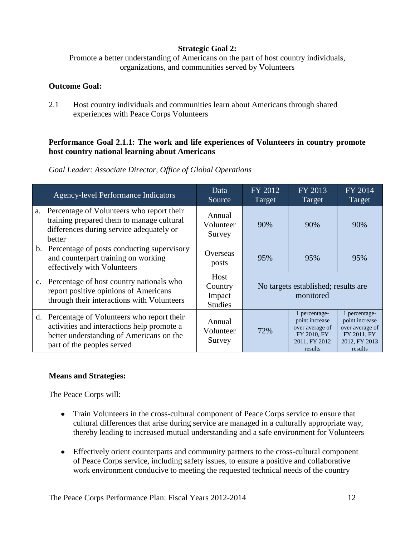# **Strategic Goal 2:**

Promote a better understanding of Americans on the part of host country individuals, organizations, and communities served by Volunteers

### **Outcome Goal:**

2.1 Host country individuals and communities learn about Americans through shared experiences with Peace Corps Volunteers

# **Performance Goal 2.1.1: The work and life experiences of Volunteers in country promote host country national learning about Americans**

|             | <b>Agency-level Performance Indicators</b>                                                                                                                           | Data<br>Source                              | FY 2012<br>Target                                | FY 2013<br>Target                                                                             | FY 2014<br>Target                                                                             |
|-------------|----------------------------------------------------------------------------------------------------------------------------------------------------------------------|---------------------------------------------|--------------------------------------------------|-----------------------------------------------------------------------------------------------|-----------------------------------------------------------------------------------------------|
|             | a. Percentage of Volunteers who report their<br>training prepared them to manage cultural<br>differences during service adequately or<br>better                      | Annual<br>Volunteer<br>Survey               | 90%                                              | 90%                                                                                           | 90%                                                                                           |
|             | b. Percentage of posts conducting supervisory<br>and counterpart training on working<br>effectively with Volunteers                                                  | Overseas<br>posts                           | 95%                                              | 95%                                                                                           | 95%                                                                                           |
| $c_{\cdot}$ | Percentage of host country nationals who<br>report positive opinions of Americans<br>through their interactions with Volunteers                                      | Host<br>Country<br>Impact<br><b>Studies</b> | No targets established; results are<br>monitored |                                                                                               |                                                                                               |
|             | d. Percentage of Volunteers who report their<br>activities and interactions help promote a<br>better understanding of Americans on the<br>part of the peoples served | Annual<br>Volunteer<br>Survey               | 72%                                              | 1 percentage-<br>point increase<br>over average of<br>FY 2010, FY<br>2011, FY 2012<br>results | 1 percentage-<br>point increase<br>over average of<br>FY 2011, FY<br>2012, FY 2013<br>results |

*Goal Leader: Associate Director, Office of Global Operations*

# **Means and Strategies:**

The Peace Corps will:

- Train Volunteers in the cross-cultural component of Peace Corps service to ensure that cultural differences that arise during service are managed in a culturally appropriate way, thereby leading to increased mutual understanding and a safe environment for Volunteers
- Effectively orient counterparts and community partners to the cross-cultural component of Peace Corps service, including safety issues, to ensure a positive and collaborative work environment conducive to meeting the requested technical needs of the country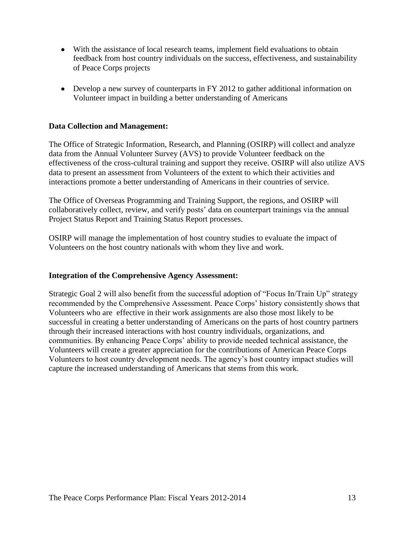- With the assistance of local research teams, implement field evaluations to obtain feedback from host country individuals on the success, effectiveness, and sustainability of Peace Corps projects
- Develop a new survey of counterparts in FY 2012 to gather additional information on Volunteer impact in building a better understanding of Americans

#### **Data Collection and Management:**

The Office of Strategic Information, Research, and Planning (OSIRP) will collect and analyze data from the Annual Volunteer Survey (AVS) to provide Volunteer feedback on the effectiveness of the cross-cultural training and support they receive. OSIRP will also utilize AVS data to present an assessment from Volunteers of the extent to which their activities and interactions promote a better understanding of Americans in their countries of service.

The Office of Overseas Programming and Training Support, the regions, and OSIRP will collaboratively collect, review, and verify posts' data on counterpart trainings via the annual Project Status Report and Training Status Report processes.

OSIRP will manage the implementation of host country studies to evaluate the impact of Volunteers on the host country nationals with whom they live and work.

#### **Integration of the Comprehensive Agency Assessment:**

Strategic Goal 2 will also benefit from the successful adoption of "Focus In/Train Up" strategy recommended by the Comprehensive Assessment. Peace Corps' history consistently shows that Volunteers who are effective in their work assignments are also those most likely to be successful in creating a better understanding of Americans on the parts of host country partners through their increased interactions with host country individuals, organizations, and communities. By enhancing Peace Corps' ability to provide needed technical assistance, the Volunteers will create a greater appreciation for the contributions of American Peace Corps Volunteers to host country development needs. The agency's host country impact studies will capture the increased understanding of Americans that stems from this work.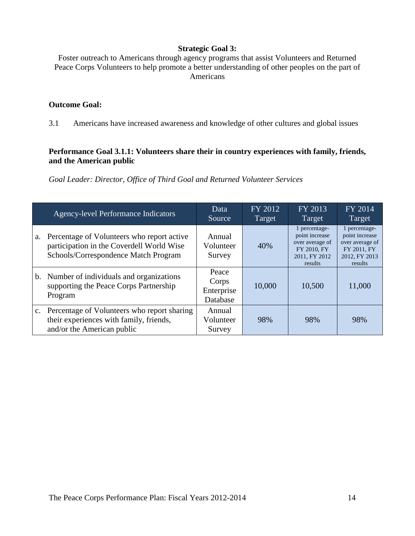### **Strategic Goal 3:**

Foster outreach to Americans through agency programs that assist Volunteers and Returned Peace Corps Volunteers to help promote a better understanding of other peoples on the part of Americans

### **Outcome Goal:**

3.1 Americans have increased awareness and knowledge of other cultures and global issues

### **Performance Goal 3.1.1: Volunteers share their in country experiences with family, friends, and the American public**

*Goal Leader: Director, Office of Third Goal and Returned Volunteer Services*

|    | <b>Agency-level Performance Indicators</b>                                                                                      | Data<br>Source                           | FY 2012<br>Target | FY 2013<br>Target                                                                             | FY 2014<br>Target                                                                             |
|----|---------------------------------------------------------------------------------------------------------------------------------|------------------------------------------|-------------------|-----------------------------------------------------------------------------------------------|-----------------------------------------------------------------------------------------------|
| a. | Percentage of Volunteers who report active<br>participation in the Coverdell World Wise<br>Schools/Correspondence Match Program | Annual<br>Volunteer<br>Survey            | 40%               | 1 percentage-<br>point increase<br>over average of<br>FY 2010, FY<br>2011, FY 2012<br>results | 1 percentage-<br>point increase<br>over average of<br>FY 2011, FY<br>2012, FY 2013<br>results |
|    | b. Number of individuals and organizations<br>supporting the Peace Corps Partnership<br>Program                                 | Peace<br>Corps<br>Enterprise<br>Database | 10,000            | 10,500                                                                                        | 11,000                                                                                        |
|    | c. Percentage of Volunteers who report sharing<br>their experiences with family, friends,<br>and/or the American public         | Annual<br>Volunteer<br>Survey            | 98%               | 98%                                                                                           | 98%                                                                                           |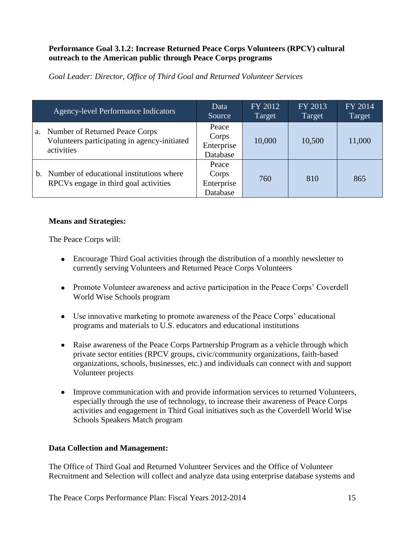# **Performance Goal 3.1.2: Increase Returned Peace Corps Volunteers (RPCV) cultural outreach to the American public through Peace Corps programs**

*Goal Leader: Director, Office of Third Goal and Returned Volunteer Services*

|    | <b>Agency-level Performance Indicators</b>                                                   | Data<br>Source                           | FY 2012<br>Target | FY 2013<br>Target | FY 2014<br>Target |
|----|----------------------------------------------------------------------------------------------|------------------------------------------|-------------------|-------------------|-------------------|
| a. | Number of Returned Peace Corps<br>Volunteers participating in agency-initiated<br>activities | Peace<br>Corps<br>Enterprise<br>Database | 10,000            | 10,500            | 11,000            |
| b. | Number of educational institutions where<br>RPCVs engage in third goal activities            | Peace<br>Corps<br>Enterprise<br>Database | 760               | 810               | 865               |

# **Means and Strategies:**

The Peace Corps will:

- Encourage Third Goal activities through the distribution of a monthly newsletter to currently serving Volunteers and Returned Peace Corps Volunteers
- Promote Volunteer awareness and active participation in the Peace Corps' Coverdell World Wise Schools program
- Use innovative marketing to promote awareness of the Peace Corps' educational programs and materials to U.S. educators and educational institutions
- Raise awareness of the Peace Corps Partnership Program as a vehicle through which private sector entities (RPCV groups, civic/community organizations, faith-based organizations, schools, businesses, etc.) and individuals can connect with and support Volunteer projects
- Improve communication with and provide information services to returned Volunteers, especially through the use of technology, to increase their awareness of Peace Corps activities and engagement in Third Goal initiatives such as the Coverdell World Wise Schools Speakers Match program

# **Data Collection and Management:**

The Office of Third Goal and Returned Volunteer Services and the Office of Volunteer Recruitment and Selection will collect and analyze data using enterprise database systems and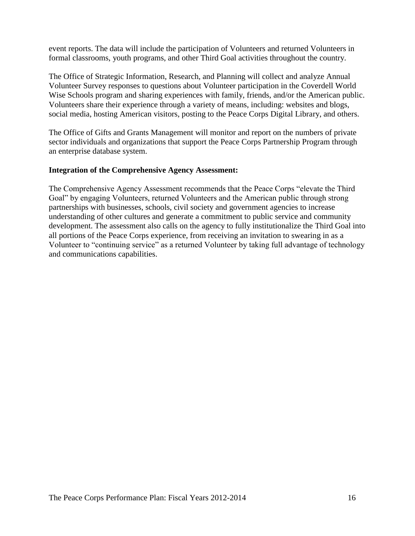event reports. The data will include the participation of Volunteers and returned Volunteers in formal classrooms, youth programs, and other Third Goal activities throughout the country.

The Office of Strategic Information, Research, and Planning will collect and analyze Annual Volunteer Survey responses to questions about Volunteer participation in the Coverdell World Wise Schools program and sharing experiences with family, friends, and/or the American public. Volunteers share their experience through a variety of means, including: websites and blogs, social media, hosting American visitors, posting to the Peace Corps Digital Library, and others.

The Office of Gifts and Grants Management will monitor and report on the numbers of private sector individuals and organizations that support the Peace Corps Partnership Program through an enterprise database system.

### **Integration of the Comprehensive Agency Assessment:**

The Comprehensive Agency Assessment recommends that the Peace Corps "elevate the Third" Goal" by engaging Volunteers, returned Volunteers and the American public through strong partnerships with businesses, schools, civil society and government agencies to increase understanding of other cultures and generate a commitment to public service and community development. The assessment also calls on the agency to fully institutionalize the Third Goal into all portions of the Peace Corps experience, from receiving an invitation to swearing in as a Volunteer to "continuing service" as a returned Volunteer by taking full advantage of technology and communications capabilities.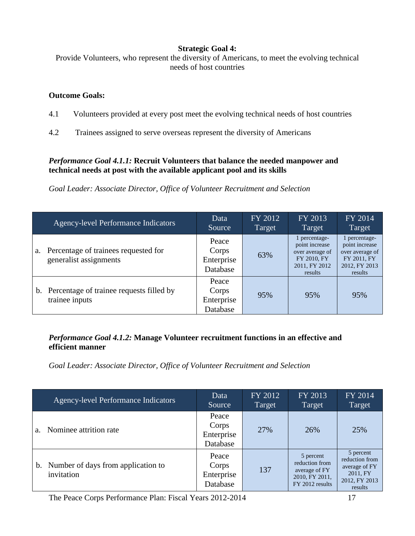# **Strategic Goal 4:**

Provide Volunteers, who represent the diversity of Americans, to meet the evolving technical needs of host countries

### **Outcome Goals:**

- 4.1 Volunteers provided at every post meet the evolving technical needs of host countries
- 4.2 Trainees assigned to serve overseas represent the diversity of Americans

# *Performance Goal 4.1.1:* **Recruit Volunteers that balance the needed manpower and technical needs at post with the available applicant pool and its skills**

*Goal Leader: Associate Director, Office of Volunteer Recruitment and Selection*

|    | <b>Agency-level Performance Indicators</b>                     | Data<br>Source                           | FY 2012<br>Target | FY 2013<br>Target                                                                             | FY 2014<br>Target                                                                             |
|----|----------------------------------------------------------------|------------------------------------------|-------------------|-----------------------------------------------------------------------------------------------|-----------------------------------------------------------------------------------------------|
| a. | Percentage of trainees requested for<br>generalist assignments | Peace<br>Corps<br>Enterprise<br>Database | 63%               | 1 percentage-<br>point increase<br>over average of<br>FY 2010, FY<br>2011, FY 2012<br>results | 1 percentage-<br>point increase<br>over average of<br>FY 2011, FY<br>2012, FY 2013<br>results |
|    | b. Percentage of trainee requests filled by<br>trainee inputs  | Peace<br>Corps<br>Enterprise<br>Database | 95%               | 95%                                                                                           | 95%                                                                                           |

### *Performance Goal 4.1.2:* **Manage Volunteer recruitment functions in an effective and efficient manner**

*Goal Leader: Associate Director, Office of Volunteer Recruitment and Selection*

|                | <b>Agency-level Performance Indicators</b>          | Data<br>Source                           | FY 2012<br>Target | FY 2013<br>Target                                                                 | FY 2014<br>Target                                                                    |
|----------------|-----------------------------------------------------|------------------------------------------|-------------------|-----------------------------------------------------------------------------------|--------------------------------------------------------------------------------------|
| a <sub>z</sub> | Nominee attrition rate                              | Peace<br>Corps<br>Enterprise<br>Database | 27%               | 26%                                                                               | 25%                                                                                  |
|                | b. Number of days from application to<br>invitation | Peace<br>Corps<br>Enterprise<br>Database | 137               | 5 percent<br>reduction from<br>average of FY<br>2010, FY 2011,<br>FY 2012 results | 5 percent<br>reduction from<br>average of FY<br>2011, FY<br>2012, FY 2013<br>results |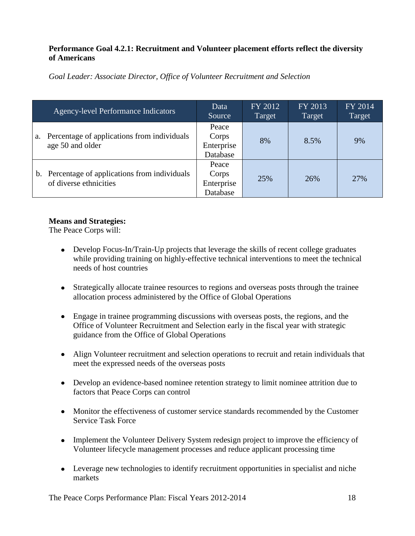# **Performance Goal 4.2.1: Recruitment and Volunteer placement efforts reflect the diversity of Americans**

*Goal Leader: Associate Director, Office of Volunteer Recruitment and Selection*

|    | <b>Agency-level Performance Indicators</b>                               | Data<br>Source                           | FY 2012<br>Target | FY 2013<br>Target | FY 2014<br>Target |
|----|--------------------------------------------------------------------------|------------------------------------------|-------------------|-------------------|-------------------|
| a. | Percentage of applications from individuals<br>age 50 and older          | Peace<br>Corps<br>Enterprise<br>Database | 8%                | 8.5%              | 9%                |
|    | b. Percentage of applications from individuals<br>of diverse ethnicities | Peace<br>Corps<br>Enterprise<br>Database | 25%               | 26%               | 27%               |

# **Means and Strategies:**

The Peace Corps will:

- Develop Focus-In/Train-Up projects that leverage the skills of recent college graduates while providing training on highly-effective technical interventions to meet the technical needs of host countries
- Strategically allocate trainee resources to regions and overseas posts through the trainee allocation process administered by the Office of Global Operations
- Engage in trainee programming discussions with overseas posts, the regions, and the Office of Volunteer Recruitment and Selection early in the fiscal year with strategic guidance from the Office of Global Operations
- Align Volunteer recruitment and selection operations to recruit and retain individuals that meet the expressed needs of the overseas posts
- Develop an evidence-based nominee retention strategy to limit nominee attrition due to factors that Peace Corps can control
- Monitor the effectiveness of customer service standards recommended by the Customer Service Task Force
- Implement the Volunteer Delivery System redesign project to improve the efficiency of Volunteer lifecycle management processes and reduce applicant processing time
- Leverage new technologies to identify recruitment opportunities in specialist and niche markets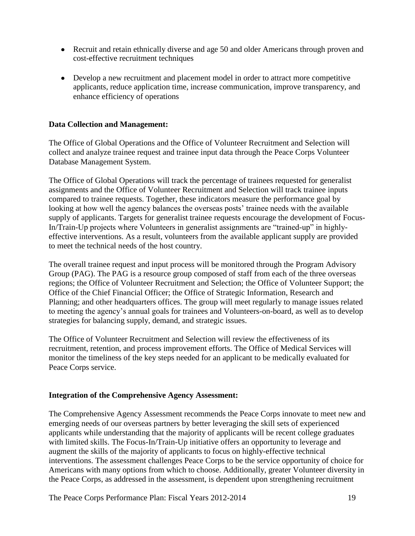- Recruit and retain ethnically diverse and age 50 and older Americans through proven and cost-effective recruitment techniques
- Develop a new recruitment and placement model in order to attract more competitive applicants, reduce application time, increase communication, improve transparency, and enhance efficiency of operations

### **Data Collection and Management:**

The Office of Global Operations and the Office of Volunteer Recruitment and Selection will collect and analyze trainee request and trainee input data through the Peace Corps Volunteer Database Management System.

The Office of Global Operations will track the percentage of trainees requested for generalist assignments and the Office of Volunteer Recruitment and Selection will track trainee inputs compared to trainee requests. Together, these indicators measure the performance goal by looking at how well the agency balances the overseas posts' trainee needs with the available supply of applicants. Targets for generalist trainee requests encourage the development of Focus-In/Train-Up projects where Volunteers in generalist assignments are "trained-up" in highlyeffective interventions. As a result, volunteers from the available applicant supply are provided to meet the technical needs of the host country.

The overall trainee request and input process will be monitored through the Program Advisory Group (PAG). The PAG is a resource group composed of staff from each of the three overseas regions; the Office of Volunteer Recruitment and Selection; the Office of Volunteer Support; the Office of the Chief Financial Officer; the Office of Strategic Information, Research and Planning; and other headquarters offices. The group will meet regularly to manage issues related to meeting the agency's annual goals for trainees and Volunteers-on-board, as well as to develop strategies for balancing supply, demand, and strategic issues.

The Office of Volunteer Recruitment and Selection will review the effectiveness of its recruitment, retention, and process improvement efforts. The Office of Medical Services will monitor the timeliness of the key steps needed for an applicant to be medically evaluated for Peace Corps service.

#### **Integration of the Comprehensive Agency Assessment:**

The Comprehensive Agency Assessment recommends the Peace Corps innovate to meet new and emerging needs of our overseas partners by better leveraging the skill sets of experienced applicants while understanding that the majority of applicants will be recent college graduates with limited skills. The Focus-In/Train-Up initiative offers an opportunity to leverage and augment the skills of the majority of applicants to focus on highly-effective technical interventions. The assessment challenges Peace Corps to be the service opportunity of choice for Americans with many options from which to choose. Additionally, greater Volunteer diversity in the Peace Corps, as addressed in the assessment, is dependent upon strengthening recruitment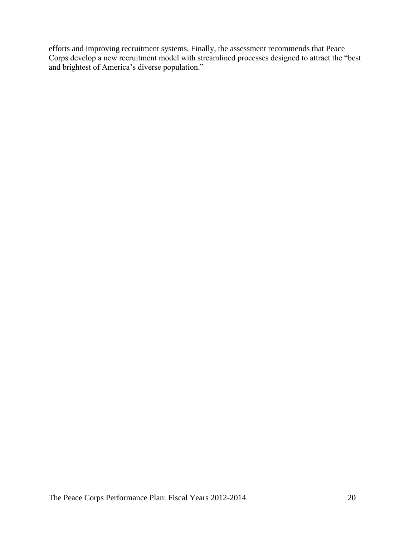efforts and improving recruitment systems. Finally, the assessment recommends that Peace Corps develop a new recruitment model with streamlined processes designed to attract the "best and brightest of America's diverse population."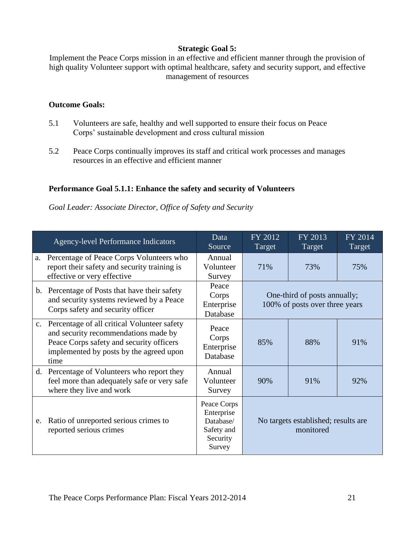# **Strategic Goal 5:**

Implement the Peace Corps mission in an effective and efficient manner through the provision of high quality Volunteer support with optimal healthcare, safety and security support, and effective management of resources

# **Outcome Goals:**

- 5.1 Volunteers are safe, healthy and well supported to ensure their focus on Peace Corps' sustainable development and cross cultural mission
- 5.2 Peace Corps continually improves its staff and critical work processes and manages resources in an effective and efficient manner

# **Performance Goal 5.1.1: Enhance the safety and security of Volunteers**

*Goal Leader: Associate Director, Office of Safety and Security*

|    | <b>Agency-level Performance Indicators</b>                                                                                                                                            | Data<br>Source                                                             | FY 2012<br>Target                                              | FY 2013<br>Target | FY 2014<br>Target |
|----|---------------------------------------------------------------------------------------------------------------------------------------------------------------------------------------|----------------------------------------------------------------------------|----------------------------------------------------------------|-------------------|-------------------|
|    | a. Percentage of Peace Corps Volunteers who<br>report their safety and security training is<br>effective or very effective                                                            | Annual<br>Volunteer<br>Survey                                              | 71%                                                            | 73%               | 75%               |
|    | b. Percentage of Posts that have their safety<br>and security systems reviewed by a Peace<br>Corps safety and security officer                                                        | Peace<br>Corps<br>Enterprise<br>Database                                   | One-third of posts annually;<br>100% of posts over three years |                   |                   |
|    | c. Percentage of all critical Volunteer safety<br>and security recommendations made by<br>Peace Corps safety and security officers<br>implemented by posts by the agreed upon<br>time | Peace<br>Corps<br>Enterprise<br>Database                                   | 85%                                                            | 88%               | 91%               |
|    | d. Percentage of Volunteers who report they<br>feel more than adequately safe or very safe<br>where they live and work                                                                | Annual<br>Volunteer<br>Survey                                              | 90%                                                            | 91%               | 92%               |
| e. | Ratio of unreported serious crimes to<br>reported serious crimes                                                                                                                      | Peace Corps<br>Enterprise<br>Database/<br>Safety and<br>Security<br>Survey | No targets established; results are<br>monitored               |                   |                   |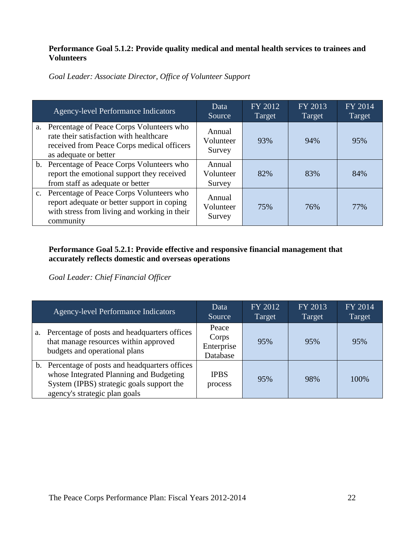# **Performance Goal 5.1.2: Provide quality medical and mental health services to trainees and Volunteers**

*Goal Leader: Associate Director, Office of Volunteer Support*

| <b>Agency-level Performance Indicators</b>                                                                                                                    | Data<br>Source                | FY 2012<br>Target | FY 2013<br>Target | FY 2014<br>Target |
|---------------------------------------------------------------------------------------------------------------------------------------------------------------|-------------------------------|-------------------|-------------------|-------------------|
| a. Percentage of Peace Corps Volunteers who<br>rate their satisfaction with healthcare<br>received from Peace Corps medical officers<br>as adequate or better | Annual<br>Volunteer<br>Survey | 93%               | 94%               | 95%               |
| b. Percentage of Peace Corps Volunteers who<br>report the emotional support they received<br>from staff as adequate or better                                 | Annual<br>Volunteer<br>Survey | 82%               | 83%               | 84%               |
| c. Percentage of Peace Corps Volunteers who<br>report adequate or better support in coping<br>with stress from living and working in their<br>community       | Annual<br>Volunteer<br>Survey | 75%               | 76%               | 77%               |

# **Performance Goal 5.2.1: Provide effective and responsive financial management that accurately reflects domestic and overseas operations**

*Goal Leader: Chief Financial Officer*

|    | <b>Agency-level Performance Indicators</b>                                                                                                                               | Data<br>Source                           | FY 2012<br>Target | FY 2013<br>Target | FY 2014<br>Target |
|----|--------------------------------------------------------------------------------------------------------------------------------------------------------------------------|------------------------------------------|-------------------|-------------------|-------------------|
| a. | Percentage of posts and headquarters offices<br>that manage resources within approved<br>budgets and operational plans                                                   | Peace<br>Corps<br>Enterprise<br>Database | 95%               | 95%               | 95%               |
|    | b. Percentage of posts and headquarters offices<br>whose Integrated Planning and Budgeting<br>System (IPBS) strategic goals support the<br>agency's strategic plan goals | <b>IPBS</b><br>process                   | 95%               | 98%               | 100%              |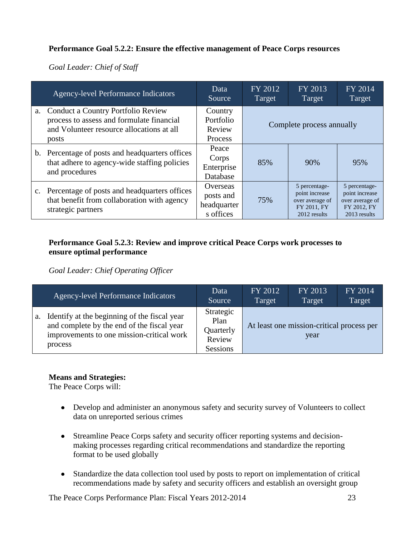# **Performance Goal 5.2.2: Ensure the effective management of Peace Corps resources**

*Goal Leader: Chief of Staff*

| <b>Agency-level Performance Indicators</b>                                                                                               | Data<br>Source                                    | FY 2012<br>Target | FY 2013<br>Target                                                                 | FY 2014<br>Target                                                                 |  |
|------------------------------------------------------------------------------------------------------------------------------------------|---------------------------------------------------|-------------------|-----------------------------------------------------------------------------------|-----------------------------------------------------------------------------------|--|
| a. Conduct a Country Portfolio Review<br>process to assess and formulate financial<br>and Volunteer resource allocations at all<br>posts | Country<br>Portfolio<br>Review<br>Process         |                   | Complete process annually                                                         |                                                                                   |  |
| b. Percentage of posts and headquarters offices<br>that adhere to agency-wide staffing policies<br>and procedures                        | Peace<br>Corps<br>Enterprise<br>Database          | 85%               | 90%                                                                               | 95%                                                                               |  |
| c. Percentage of posts and headquarters offices<br>that benefit from collaboration with agency<br>strategic partners                     | Overseas<br>posts and<br>headquarter<br>s offices | 75%               | 5 percentage-<br>point increase<br>over average of<br>FY 2011, FY<br>2012 results | 5 percentage-<br>point increase<br>over average of<br>FY 2012, FY<br>2013 results |  |

# **Performance Goal 5.2.3: Review and improve critical Peace Corps work processes to ensure optimal performance**

*Goal Leader: Chief Operating Officer*

|    | <b>Agency-level Performance Indicators</b>                                                                                                         | Data<br>Source                                              | FY 2012<br>Target                                 | FY 2013<br>Target | FY 2014<br>Target |  |
|----|----------------------------------------------------------------------------------------------------------------------------------------------------|-------------------------------------------------------------|---------------------------------------------------|-------------------|-------------------|--|
| a. | Identify at the beginning of the fiscal year<br>and complete by the end of the fiscal year<br>improvements to one mission-critical work<br>process | Strategic<br>Plan<br>Quarterly<br>Review<br><b>Sessions</b> | At least one mission-critical process per<br>year |                   |                   |  |

# **Means and Strategies:**

The Peace Corps will:

- Develop and administer an anonymous safety and security survey of Volunteers to collect data on unreported serious crimes
- Streamline Peace Corps safety and security officer reporting systems and decisionmaking processes regarding critical recommendations and standardize the reporting format to be used globally
- Standardize the data collection tool used by posts to report on implementation of critical recommendations made by safety and security officers and establish an oversight group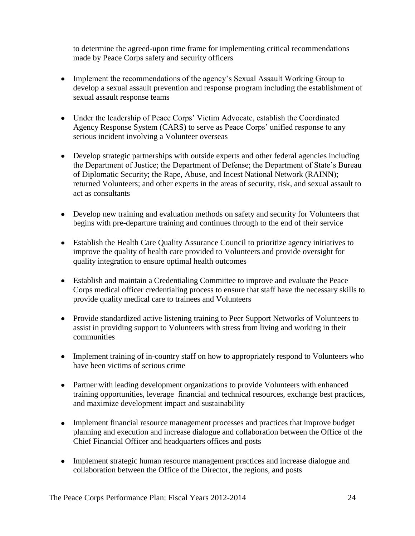to determine the agreed-upon time frame for implementing critical recommendations made by Peace Corps safety and security officers

- Implement the recommendations of the agency's Sexual Assault Working Group to develop a sexual assault prevention and response program including the establishment of sexual assault response teams
- Under the leadership of Peace Corps' Victim Advocate, establish the Coordinated Agency Response System (CARS) to serve as Peace Corps' unified response to any serious incident involving a Volunteer overseas
- Develop strategic partnerships with outside experts and other federal agencies including the Department of Justice; the Department of Defense; the Department of State's Bureau of Diplomatic Security; the Rape, Abuse, and Incest National Network (RAINN); returned Volunteers; and other experts in the areas of security, risk, and sexual assault to act as consultants
- Develop new training and evaluation methods on safety and security for Volunteers that begins with pre-departure training and continues through to the end of their service
- Establish the Health Care Quality Assurance Council to prioritize agency initiatives to improve the quality of health care provided to Volunteers and provide oversight for quality integration to ensure optimal health outcomes
- Establish and maintain a Credentialing Committee to improve and evaluate the Peace Corps medical officer credentialing process to ensure that staff have the necessary skills to provide quality medical care to trainees and Volunteers
- Provide standardized active listening training to Peer Support Networks of Volunteers to assist in providing support to Volunteers with stress from living and working in their communities
- Implement training of in-country staff on how to appropriately respond to Volunteers who have been victims of serious crime
- Partner with leading development organizations to provide Volunteers with enhanced training opportunities, leverage financial and technical resources, exchange best practices, and maximize development impact and sustainability
- Implement financial resource management processes and practices that improve budget planning and execution and increase dialogue and collaboration between the Office of the Chief Financial Officer and headquarters offices and posts
- Implement strategic human resource management practices and increase dialogue and collaboration between the Office of the Director, the regions, and posts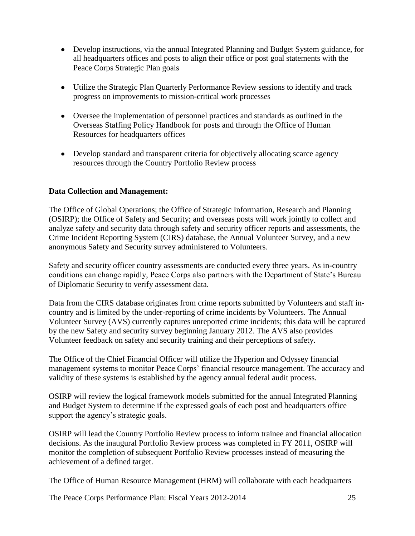- Develop instructions, via the annual Integrated Planning and Budget System guidance, for all headquarters offices and posts to align their office or post goal statements with the Peace Corps Strategic Plan goals
- Utilize the Strategic Plan Quarterly Performance Review sessions to identify and track progress on improvements to mission-critical work processes
- Oversee the implementation of personnel practices and standards as outlined in the Overseas Staffing Policy Handbook for posts and through the Office of Human Resources for headquarters offices
- Develop standard and transparent criteria for objectively allocating scarce agency resources through the Country Portfolio Review process

# **Data Collection and Management:**

The Office of Global Operations; the Office of Strategic Information, Research and Planning (OSIRP); the Office of Safety and Security; and overseas posts will work jointly to collect and analyze safety and security data through safety and security officer reports and assessments, the Crime Incident Reporting System (CIRS) database, the Annual Volunteer Survey, and a new anonymous Safety and Security survey administered to Volunteers.

Safety and security officer country assessments are conducted every three years. As in-country conditions can change rapidly, Peace Corps also partners with the Department of State's Bureau of Diplomatic Security to verify assessment data.

Data from the CIRS database originates from crime reports submitted by Volunteers and staff incountry and is limited by the under-reporting of crime incidents by Volunteers. The Annual Volunteer Survey (AVS) currently captures unreported crime incidents; this data will be captured by the new Safety and security survey beginning January 2012. The AVS also provides Volunteer feedback on safety and security training and their perceptions of safety.

The Office of the Chief Financial Officer will utilize the Hyperion and Odyssey financial management systems to monitor Peace Corps' financial resource management. The accuracy and validity of these systems is established by the agency annual federal audit process.

OSIRP will review the logical framework models submitted for the annual Integrated Planning and Budget System to determine if the expressed goals of each post and headquarters office support the agency's strategic goals.

OSIRP will lead the Country Portfolio Review process to inform trainee and financial allocation decisions. As the inaugural Portfolio Review process was completed in FY 2011, OSIRP will monitor the completion of subsequent Portfolio Review processes instead of measuring the achievement of a defined target.

The Office of Human Resource Management (HRM) will collaborate with each headquarters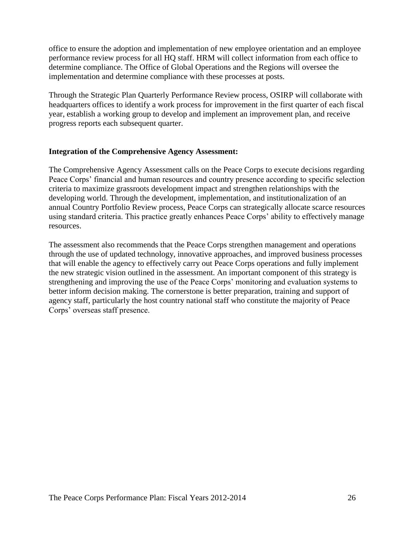office to ensure the adoption and implementation of new employee orientation and an employee performance review process for all HQ staff. HRM will collect information from each office to determine compliance. The Office of Global Operations and the Regions will oversee the implementation and determine compliance with these processes at posts.

Through the Strategic Plan Quarterly Performance Review process, OSIRP will collaborate with headquarters offices to identify a work process for improvement in the first quarter of each fiscal year, establish a working group to develop and implement an improvement plan, and receive progress reports each subsequent quarter.

#### **Integration of the Comprehensive Agency Assessment:**

The Comprehensive Agency Assessment calls on the Peace Corps to execute decisions regarding Peace Corps' financial and human resources and country presence according to specific selection criteria to maximize grassroots development impact and strengthen relationships with the developing world. Through the development, implementation, and institutionalization of an annual Country Portfolio Review process, Peace Corps can strategically allocate scarce resources using standard criteria. This practice greatly enhances Peace Corps' ability to effectively manage resources.

The assessment also recommends that the Peace Corps strengthen management and operations through the use of updated technology, innovative approaches, and improved business processes that will enable the agency to effectively carry out Peace Corps operations and fully implement the new strategic vision outlined in the assessment. An important component of this strategy is strengthening and improving the use of the Peace Corps' monitoring and evaluation systems to better inform decision making. The cornerstone is better preparation, training and support of agency staff, particularly the host country national staff who constitute the majority of Peace Corps' overseas staff presence.